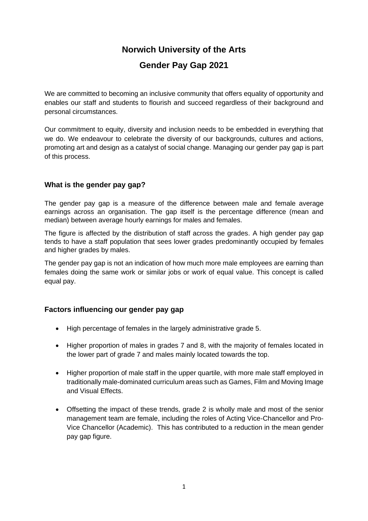# **Norwich University of the Arts**

# **Gender Pay Gap 2021**

We are committed to becoming an inclusive community that offers equality of opportunity and enables our staff and students to flourish and succeed regardless of their background and personal circumstances.

 Our commitment to equity, diversity and inclusion needs to be embedded in everything that we do. We endeavour to celebrate the diversity of our backgrounds, cultures and actions, promoting art and design as a catalyst of social change. Managing our gender pay gap is part of this process.

# **What is the gender pay gap?**

 The gender pay gap is a measure of the difference between male and female average earnings across an organisation. The gap itself is the percentage difference (mean and median) between average hourly earnings for males and females.

 The figure is affected by the distribution of staff across the grades. A high gender pay gap tends to have a staff population that sees lower grades predominantly occupied by females and higher grades by males.

 The gender pay gap is not an indication of how much more male employees are earning than females doing the same work or similar jobs or work of equal value. This concept is called equal pay.

## **Factors influencing our gender pay gap**

- High percentage of females in the largely administrative grade 5.
- • Higher proportion of males in grades 7 and 8, with the majority of females located in the lower part of grade 7 and males mainly located towards the top.
- • Higher proportion of male staff in the upper quartile, with more male staff employed in traditionally male-dominated curriculum areas such as Games, Film and Moving Image and Visual Effects.
- • Offsetting the impact of these trends, grade 2 is wholly male and most of the senior management team are female, including the roles of Acting Vice-Chancellor and Pro- Vice Chancellor (Academic). This has contributed to a reduction in the mean gender pay gap figure.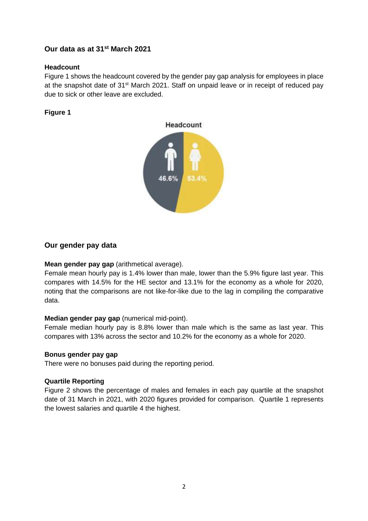# **Our data as at 31st March 2021**

#### **Headcount**

 Figure 1 shows the headcount covered by the gender pay gap analysis for employees in place at the snapshot date of 31<sup>st</sup> March 2021. Staff on unpaid leave or in receipt of reduced pay due to sick or other leave are excluded.

#### **Figure 1**



#### **Our gender pay data**

#### **Mean gender pay gap** (arithmetical average).

 Female mean hourly pay is 1.4% lower than male, lower than the 5.9% figure last year. This compares with 14.5% for the HE sector and 13.1% for the economy as a whole for 2020, noting that the comparisons are not like-for-like due to the lag in compiling the comparative data.

#### **Median gender pay gap** (numerical mid-point).

 Female median hourly pay is 8.8% lower than male which is the same as last year. This compares with 13% across the sector and 10.2% for the economy as a whole for 2020.

#### **Bonus gender pay gap**

There were no bonuses paid during the reporting period.

#### **Quartile Reporting**

 Figure 2 shows the percentage of males and females in each pay quartile at the snapshot date of 31 March in 2021, with 2020 figures provided for comparison. Quartile 1 represents the lowest salaries and quartile 4 the highest.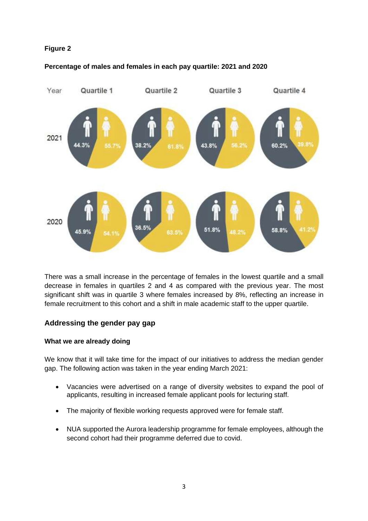## **Figure 2**

#### **Percentage of males and females in each pay quartile: 2021 and 2020**



 There was a small increase in the percentage of females in the lowest quartile and a small decrease in females in quartiles 2 and 4 as compared with the previous year. The most significant shift was in quartile 3 where females increased by 8%, reflecting an increase in female recruitment to this cohort and a shift in male academic staff to the upper quartile.

## **Addressing the gender pay gap**

## **What we are already doing**

 We know that it will take time for the impact of our initiatives to address the median gender gap. The following action was taken in the year ending March 2021:

- • Vacancies were advertised on a range of diversity websites to expand the pool of applicants, resulting in increased female applicant pools for lecturing staff.
- The majority of flexible working requests approved were for female staff.
- • NUA supported the Aurora leadership programme for female employees, although the second cohort had their programme deferred due to covid.